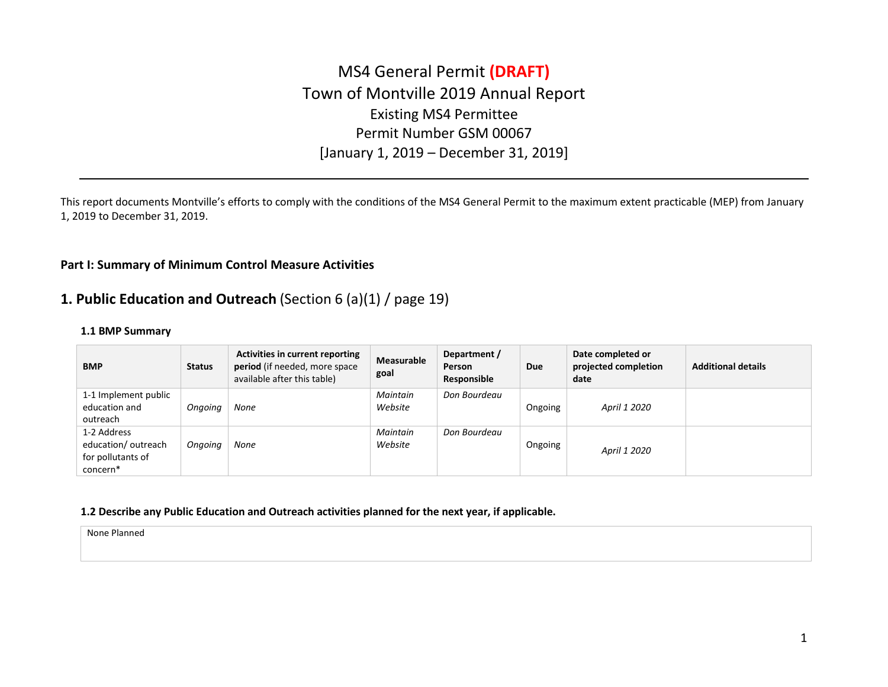# MS4 General Permit **(DRAFT)** Town of Montville 2019 Annual Report Existing MS4 Permittee Permit Number GSM 00067 [January 1, 2019 – December 31, 2019]

This report documents Montville's efforts to comply with the conditions of the MS4 General Permit to the maximum extent practicable (MEP) from January 1, 2019 to December 31, 2019.

### **Part I: Summary of Minimum Control Measure Activities**

# **1. Public Education and Outreach** (Section 6 (a)(1) / page 19)

### **1.1 BMP Summary**

| <b>BMP</b>                                                         | <b>Status</b> | <b>Activities in current reporting</b><br>period (if needed, more space<br>available after this table) | Measurable<br>goal  | Department /<br>Person<br>Responsible | <b>Due</b> | Date completed or<br>projected completion<br>date | <b>Additional details</b> |
|--------------------------------------------------------------------|---------------|--------------------------------------------------------------------------------------------------------|---------------------|---------------------------------------|------------|---------------------------------------------------|---------------------------|
| 1-1 Implement public<br>education and<br>outreach                  | Ongoing       | None                                                                                                   | Maintain<br>Website | Don Bourdeau                          | Ongoing    | April 1 2020                                      |                           |
| 1-2 Address<br>education/outreach<br>for pollutants of<br>concern* | Ongoing       | None                                                                                                   | Maintain<br>Website | Don Bourdeau                          | Ongoing    | April 1 2020                                      |                           |

### **1.2 Describe any Public Education and Outreach activities planned for the next year, if applicable.**

None Planned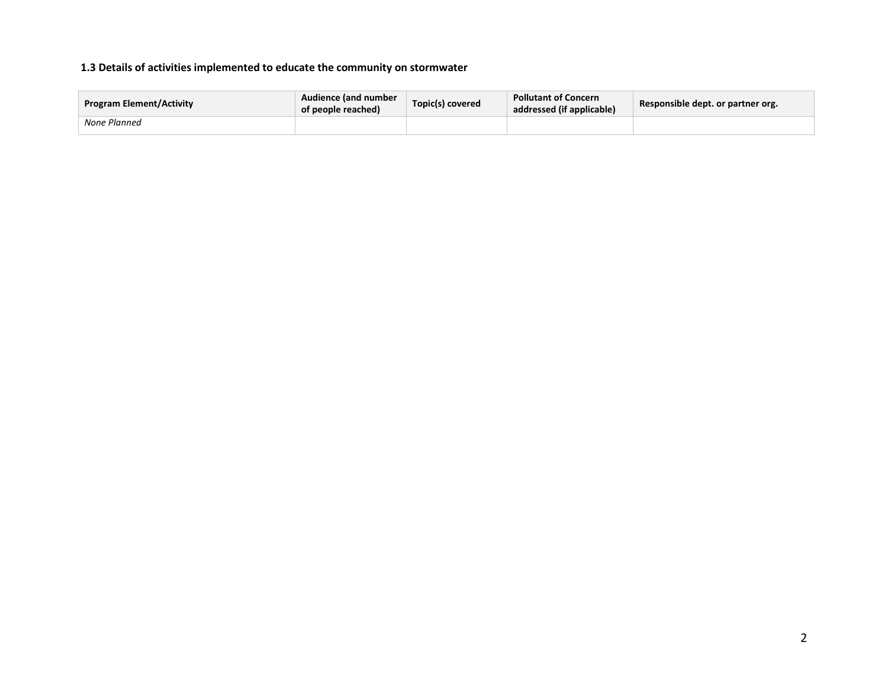## **1.3 Details of activities implemented to educate the community on stormwater**

| <b>Program Element/Activity</b> | Audience (and number<br>of people reached) | Topic(s) covered | <b>Pollutant of Concern</b><br>addressed (if applicable) | Responsible dept. or partner org. |
|---------------------------------|--------------------------------------------|------------------|----------------------------------------------------------|-----------------------------------|
| None Planned                    |                                            |                  |                                                          |                                   |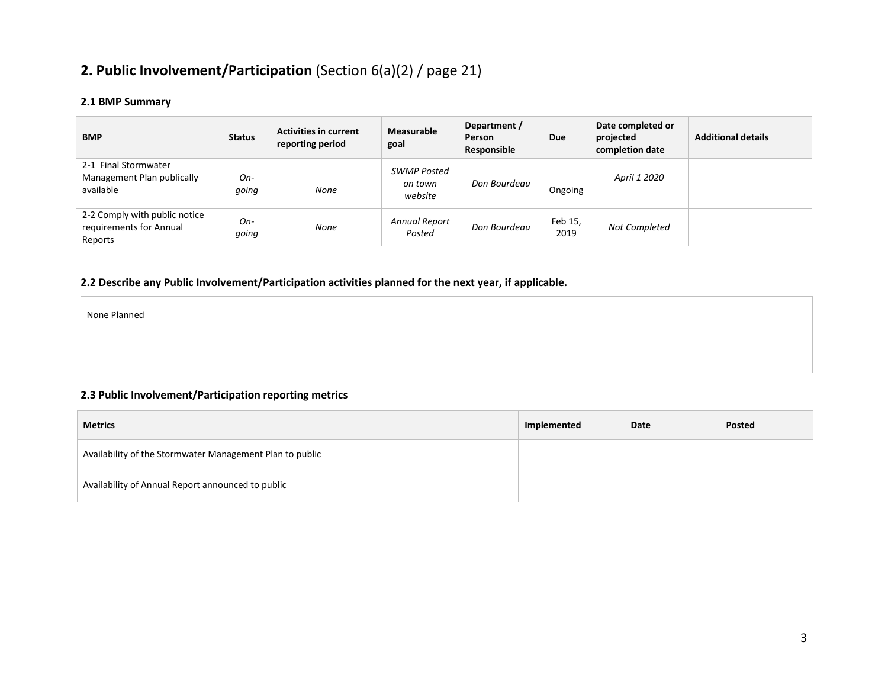# **2. Public Involvement/Participation** (Section 6(a)(2) / page 21)

# **2.1 BMP Summary**

| <b>BMP</b>                                                          | <b>Status</b> | <b>Activities in current</b><br>reporting period | <b>Measurable</b><br>goal                | Department /<br>Person<br>Responsible | Due             | Date completed or<br>projected<br>completion date | <b>Additional details</b> |
|---------------------------------------------------------------------|---------------|--------------------------------------------------|------------------------------------------|---------------------------------------|-----------------|---------------------------------------------------|---------------------------|
| 2-1 Final Stormwater<br>Management Plan publically<br>available     | On-<br>qoing  | None                                             | <b>SWMP Posted</b><br>on town<br>website | Don Bourdeau                          | Ongoing         | April 1 2020                                      |                           |
| 2-2 Comply with public notice<br>requirements for Annual<br>Reports | On-<br>qoing  | None                                             | Annual Report<br>Posted                  | Don Bourdeau                          | Feb 15,<br>2019 | Not Completed                                     |                           |

# **2.2 Describe any Public Involvement/Participation activities planned for the next year, if applicable.**

None Planned

## **2.3 Public Involvement/Participation reporting metrics**

| <b>Metrics</b>                                           | Implemented | Date | Posted |
|----------------------------------------------------------|-------------|------|--------|
| Availability of the Stormwater Management Plan to public |             |      |        |
| Availability of Annual Report announced to public        |             |      |        |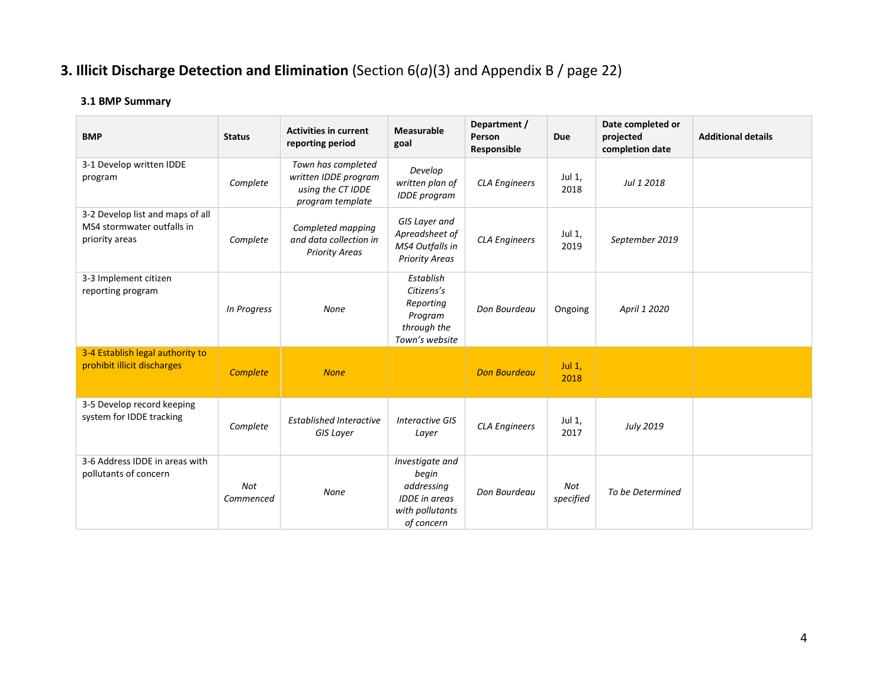# **3. Illicit Discharge Detection and Elimination** (Section 6(*a*)(3) and Appendix B / page 22)

# **3.1 BMP Summary**

| <b>BMP</b>                                                                       | <b>Status</b>           | <b>Activities in current</b><br>reporting period                                    | Measurable<br>goal                                                                              | Department /<br>Person<br>Responsible | <b>Due</b>       | Date completed or<br>projected<br>completion date | <b>Additional details</b> |
|----------------------------------------------------------------------------------|-------------------------|-------------------------------------------------------------------------------------|-------------------------------------------------------------------------------------------------|---------------------------------------|------------------|---------------------------------------------------|---------------------------|
| 3-1 Develop written IDDE<br>program                                              | Complete                | Town has completed<br>written IDDE program<br>using the CT IDDE<br>program template | Develop<br>written plan of<br><b>IDDE</b> program                                               | <b>CLA Engineers</b>                  | Jul 1,<br>2018   | Jul 1 2018                                        |                           |
| 3-2 Develop list and maps of all<br>MS4 stormwater outfalls in<br>priority areas | Complete                | Completed mapping<br>and data collection in<br><b>Priority Areas</b>                | GIS Layer and<br>Apreadsheet of<br>MS4 Outfalls in<br><b>Priority Areas</b>                     | <b>CLA Engineers</b>                  | Jul 1,<br>2019   | September 2019                                    |                           |
| 3-3 Implement citizen<br>reporting program                                       | In Progress             | None                                                                                | Establish<br>Citizens's<br>Reporting<br>Program<br>through the<br>Town's website                | Don Bourdeau                          | Ongoing          | April 1 2020                                      |                           |
| 3-4 Establish legal authority to<br>prohibit illicit discharges                  | Complete                | <b>None</b>                                                                         |                                                                                                 | <b>Don Bourdeau</b>                   | Jul $1,$<br>2018 |                                                   |                           |
| 3-5 Develop record keeping<br>system for IDDE tracking                           | Complete                | <b>Established Interactive</b><br><b>GIS Layer</b>                                  | <b>Interactive GIS</b><br>Layer                                                                 | <b>CLA Engineers</b>                  | Jul 1,<br>2017   | <b>July 2019</b>                                  |                           |
| 3-6 Address IDDE in areas with<br>pollutants of concern                          | <b>Not</b><br>Commenced | None                                                                                | Investigate and<br>begin<br>addressing<br><b>IDDE</b> in areas<br>with pollutants<br>of concern | Don Bourdeau                          | Not<br>specified | To be Determined                                  |                           |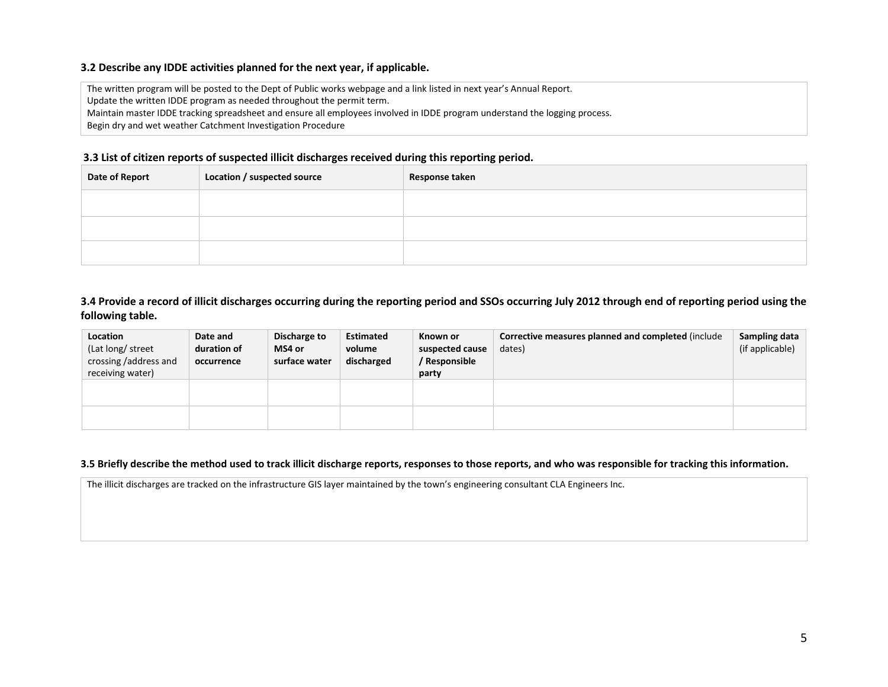### **3.2 Describe any IDDE activities planned for the next year, if applicable.**

The written program will be posted to the Dept of Public works webpage and a link listed in next year's Annual Report.

Update the written IDDE program as needed throughout the permit term.

Maintain master IDDE tracking spreadsheet and ensure all employees involved in IDDE program understand the logging process.

Begin dry and wet weather Catchment Investigation Procedure

### **3.3 List of citizen reports of suspected illicit discharges received during this reporting period.**

| <b>Date of Report</b> | Location / suspected source | Response taken |
|-----------------------|-----------------------------|----------------|
|                       |                             |                |
|                       |                             |                |
|                       |                             |                |

### **3.4 Provide a record of illicit discharges occurring during the reporting period and SSOs occurring July 2012 through end of reporting period using the following table.**

| Location<br>(Lat long/ street<br>crossing /address and<br>receiving water) | Date and<br>duration of<br>occurrence | Discharge to<br>MS4 or<br>surface water | <b>Estimated</b><br>volume<br>discharged | Known or<br>suspected cause<br>/ Responsible<br>party | Corrective measures planned and completed (include<br>dates) | Sampling data<br>(if applicable) |
|----------------------------------------------------------------------------|---------------------------------------|-----------------------------------------|------------------------------------------|-------------------------------------------------------|--------------------------------------------------------------|----------------------------------|
|                                                                            |                                       |                                         |                                          |                                                       |                                                              |                                  |
|                                                                            |                                       |                                         |                                          |                                                       |                                                              |                                  |

#### **3.5 Briefly describe the method used to track illicit discharge reports, responses to those reports, and who was responsible for tracking this information.**

The illicit discharges are tracked on the infrastructure GIS layer maintained by the town's engineering consultant CLA Engineers Inc.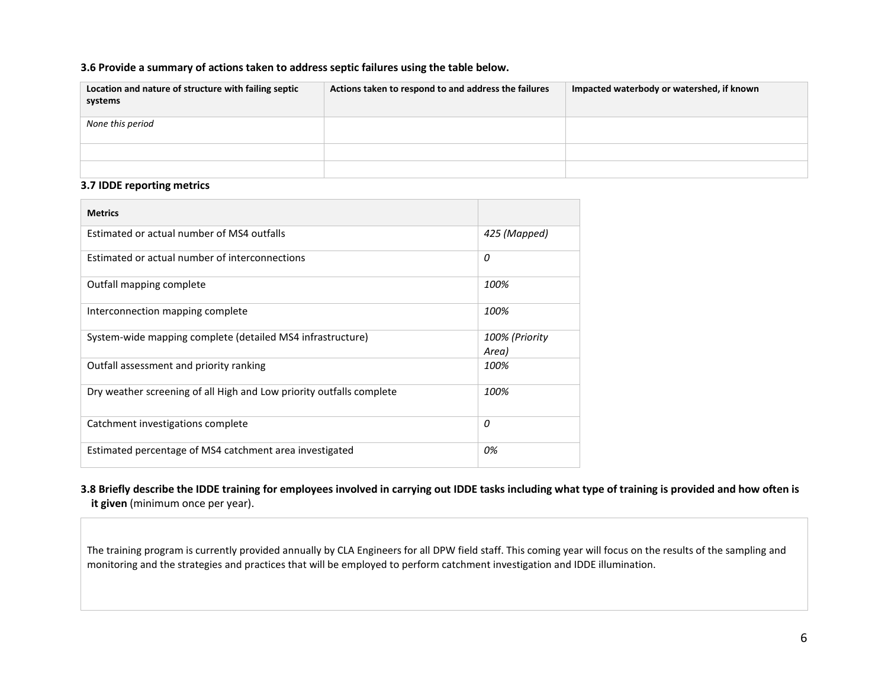### **3.6 Provide a summary of actions taken to address septic failures using the table below.**

| Location and nature of structure with failing septic<br>systems | Actions taken to respond to and address the failures | Impacted waterbody or watershed, if known |
|-----------------------------------------------------------------|------------------------------------------------------|-------------------------------------------|
| None this period                                                |                                                      |                                           |
|                                                                 |                                                      |                                           |
|                                                                 |                                                      |                                           |

### **3.7 IDDE reporting metrics**

| <b>Metrics</b>                                                       |                         |
|----------------------------------------------------------------------|-------------------------|
| Estimated or actual number of MS4 outfalls                           | 425 (Mapped)            |
| Estimated or actual number of interconnections                       | 0                       |
| Outfall mapping complete                                             | 100%                    |
| Interconnection mapping complete                                     | 100%                    |
| System-wide mapping complete (detailed MS4 infrastructure)           | 100% (Priority<br>Area) |
| Outfall assessment and priority ranking                              | 100%                    |
| Dry weather screening of all High and Low priority outfalls complete | 100%                    |
| Catchment investigations complete                                    | 0                       |
| Estimated percentage of MS4 catchment area investigated              | 0%                      |

## **3.8 Briefly describe the IDDE training for employees involved in carrying out IDDE tasks including what type of training is provided and how often is it given** (minimum once per year).

The training program is currently provided annually by CLA Engineers for all DPW field staff. This coming year will focus on the results of the sampling and monitoring and the strategies and practices that will be employed to perform catchment investigation and IDDE illumination.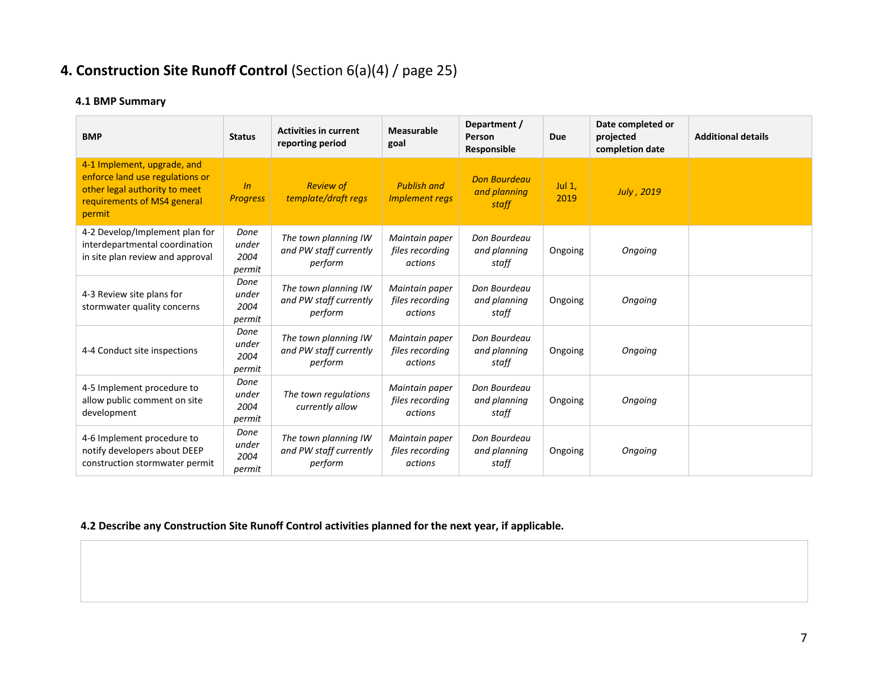# **4. Construction Site Runoff Control** (Section 6(a)(4) / page 25)

# **4.1 BMP Summary**

| <b>BMP</b>                                                                                                                               | <b>Status</b>                   | <b>Activities in current</b><br>reporting period          | <b>Measurable</b><br>goal                    | Department /<br>Person<br>Responsible        | Due               | Date completed or<br>projected<br>completion date | <b>Additional details</b> |
|------------------------------------------------------------------------------------------------------------------------------------------|---------------------------------|-----------------------------------------------------------|----------------------------------------------|----------------------------------------------|-------------------|---------------------------------------------------|---------------------------|
| 4-1 Implement, upgrade, and<br>enforce land use regulations or<br>other legal authority to meet<br>requirements of MS4 general<br>permit | ln<br><b>Progress</b>           | <b>Review of</b><br>template/draft regs                   | <b>Publish and</b><br><b>Implement regs</b>  | <b>Don Bourdeau</b><br>and planning<br>staff | Jul $1$ ,<br>2019 | <b>July</b> , 2019                                |                           |
| 4-2 Develop/Implement plan for<br>interdepartmental coordination<br>in site plan review and approval                                     | Done<br>under<br>2004<br>permit | The town planning IW<br>and PW staff currently<br>perform | Maintain paper<br>files recording<br>actions | Don Bourdeau<br>and planning<br>staff        | Ongoing           | Ongoing                                           |                           |
| 4-3 Review site plans for<br>stormwater quality concerns                                                                                 | Done<br>under<br>2004<br>permit | The town planning IW<br>and PW staff currently<br>perform | Maintain paper<br>files recording<br>actions | Don Bourdeau<br>and planning<br>staff        | Ongoing           | Ongoing                                           |                           |
| 4-4 Conduct site inspections                                                                                                             | Done<br>under<br>2004<br>permit | The town planning IW<br>and PW staff currently<br>perform | Maintain paper<br>files recording<br>actions | Don Bourdeau<br>and planning<br>staff        | Ongoing           | Ongoing                                           |                           |
| 4-5 Implement procedure to<br>allow public comment on site<br>development                                                                | Done<br>under<br>2004<br>permit | The town regulations<br>currently allow                   | Maintain paper<br>files recording<br>actions | Don Bourdeau<br>and planning<br>staff        | Ongoing           | Ongoing                                           |                           |
| 4-6 Implement procedure to<br>notify developers about DEEP<br>construction stormwater permit                                             | Done<br>under<br>2004<br>permit | The town planning IW<br>and PW staff currently<br>perform | Maintain paper<br>files recording<br>actions | Don Bourdeau<br>and planning<br>staff        | Ongoing           | Ongoing                                           |                           |

# **4.2 Describe any Construction Site Runoff Control activities planned for the next year, if applicable.**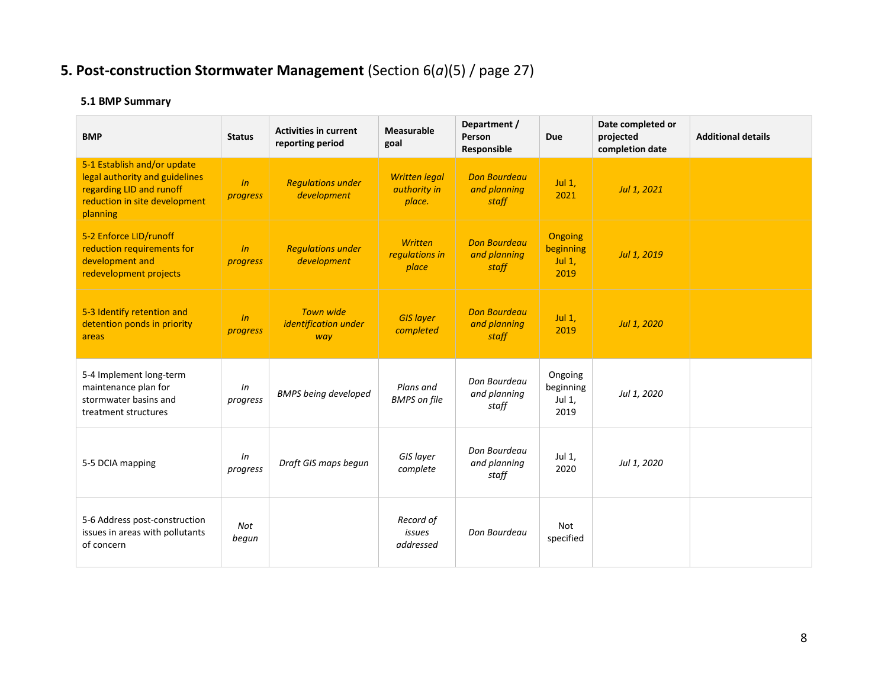# **5. Post-construction Stormwater Management** (Section 6(*a*)(5) / page 27)

# **5.1 BMP Summary**

| <b>BMP</b>                                                                                                                             | <b>Status</b>  | <b>Activities in current</b><br>reporting period | Measurable<br>goal                             | Department /<br>Person<br>Responsible        | <b>Due</b>                                | Date completed or<br>projected<br>completion date | <b>Additional details</b> |
|----------------------------------------------------------------------------------------------------------------------------------------|----------------|--------------------------------------------------|------------------------------------------------|----------------------------------------------|-------------------------------------------|---------------------------------------------------|---------------------------|
| 5-1 Establish and/or update<br>legal authority and guidelines<br>regarding LID and runoff<br>reduction in site development<br>planning | ln<br>progress | <b>Regulations under</b><br>development          | <b>Written legal</b><br>authority in<br>place. | <b>Don Bourdeau</b><br>and planning<br>staff | Jul $1,$<br>2021                          | Jul 1, 2021                                       |                           |
| 5-2 Enforce LID/runoff<br>reduction requirements for<br>development and<br>redevelopment projects                                      | ln<br>progress | <b>Regulations under</b><br>development          | <b>Written</b><br>regulations in<br>place      | <b>Don Bourdeau</b><br>and planning<br>staff | Ongoing<br>beginning<br>Jul $1$ ,<br>2019 | Jul 1, 2019                                       |                           |
| 5-3 Identify retention and<br>detention ponds in priority<br>areas                                                                     | ln<br>progress | <b>Town wide</b><br>identification under<br>way  | <b>GIS layer</b><br>completed                  | <b>Don Bourdeau</b><br>and planning<br>staff | Jul $1,$<br>2019                          | Jul 1, 2020                                       |                           |
| 5-4 Implement long-term<br>maintenance plan for<br>stormwater basins and<br>treatment structures                                       | In<br>progress | <b>BMPS being developed</b>                      | Plans and<br><b>BMPS</b> on file               | Don Bourdeau<br>and planning<br>staff        | Ongoing<br>beginning<br>Jul 1,<br>2019    | Jul 1, 2020                                       |                           |
| 5-5 DCIA mapping                                                                                                                       | ln<br>progress | Draft GIS maps begun                             | GIS layer<br>complete                          | Don Bourdeau<br>and planning<br>staff        | Jul 1,<br>2020                            | Jul 1, 2020                                       |                           |
| 5-6 Address post-construction<br>issues in areas with pollutants<br>of concern                                                         | Not<br>begun   |                                                  | Record of<br>issues<br>addressed               | Don Bourdeau                                 | Not<br>specified                          |                                                   |                           |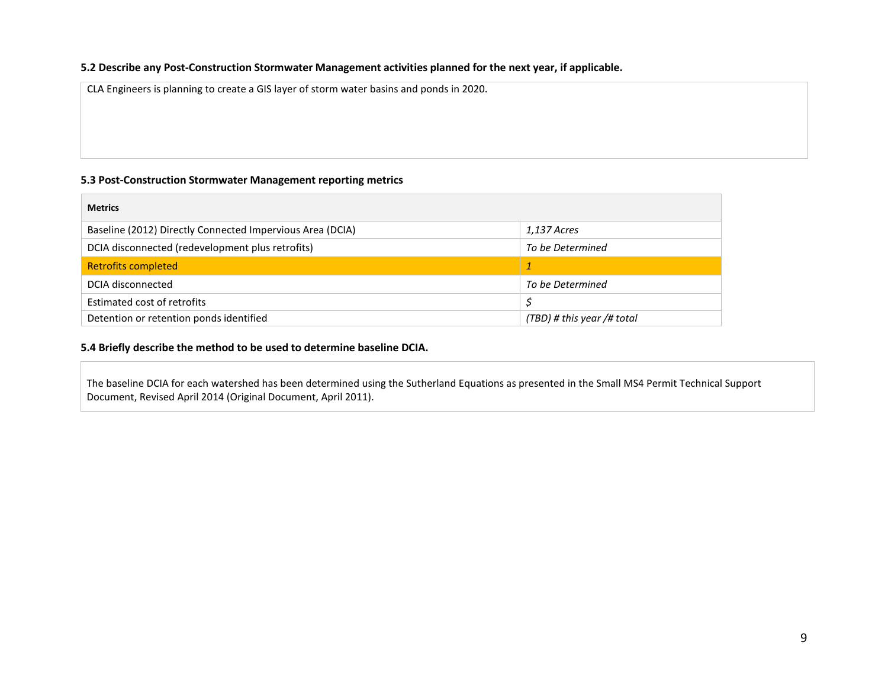### **5.2 Describe any Post-Construction Stormwater Management activities planned for the next year, if applicable.**

CLA Engineers is planning to create a GIS layer of storm water basins and ponds in 2020.

### **5.3 Post-Construction Stormwater Management reporting metrics**

| <b>Metrics</b>                                            |                            |
|-----------------------------------------------------------|----------------------------|
| Baseline (2012) Directly Connected Impervious Area (DCIA) | 1,137 Acres                |
| DCIA disconnected (redevelopment plus retrofits)          | To be Determined           |
| <b>Retrofits completed</b>                                |                            |
| DCIA disconnected                                         | To be Determined           |
| Estimated cost of retrofits                               | S                          |
| Detention or retention ponds identified                   | (TBD) # this year /# total |

### **5.4 Briefly describe the method to be used to determine baseline DCIA.**

The baseline DCIA for each watershed has been determined using the Sutherland Equations as presented in the Small MS4 Permit Technical Support Document, Revised April 2014 (Original Document, April 2011).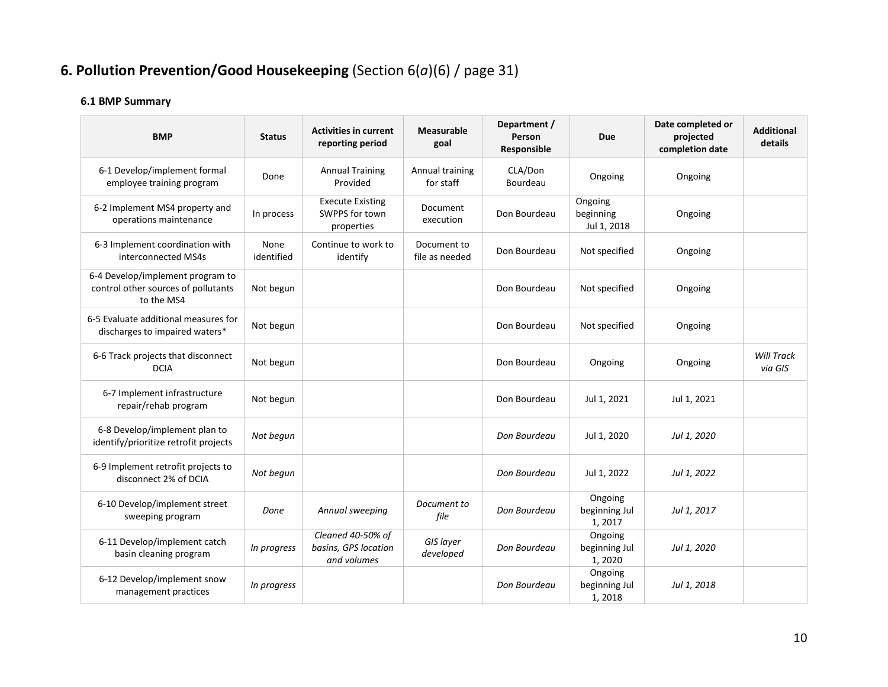# **6. Pollution Prevention/Good Housekeeping** (Section 6(*a*)(6) / page 31)

# **6.1 BMP Summary**

| <b>BMP</b>                                                                            | <b>Status</b>      | <b>Activities in current</b><br>reporting period         | <b>Measurable</b><br>goal     | Department /<br>Person<br>Responsible | <b>Due</b>                          | Date completed or<br>projected<br>completion date | <b>Additional</b><br>details |
|---------------------------------------------------------------------------------------|--------------------|----------------------------------------------------------|-------------------------------|---------------------------------------|-------------------------------------|---------------------------------------------------|------------------------------|
| 6-1 Develop/implement formal<br>employee training program                             | Done               | <b>Annual Training</b><br>Provided                       | Annual training<br>for staff  | CLA/Don<br>Bourdeau                   | Ongoing                             | Ongoing                                           |                              |
| 6-2 Implement MS4 property and<br>operations maintenance                              | In process         | <b>Execute Existing</b><br>SWPPS for town<br>properties  | Document<br>execution         | Don Bourdeau                          | Ongoing<br>beginning<br>Jul 1, 2018 | Ongoing                                           |                              |
| 6-3 Implement coordination with<br>interconnected MS4s                                | None<br>identified | Continue to work to<br>identify                          | Document to<br>file as needed | Don Bourdeau                          | Not specified                       | Ongoing                                           |                              |
| 6-4 Develop/implement program to<br>control other sources of pollutants<br>to the MS4 | Not begun          |                                                          |                               | Don Bourdeau                          | Not specified                       | Ongoing                                           |                              |
| 6-5 Evaluate additional measures for<br>discharges to impaired waters*                | Not begun          |                                                          |                               | Don Bourdeau                          | Not specified                       | Ongoing                                           |                              |
| 6-6 Track projects that disconnect<br><b>DCIA</b>                                     | Not begun          |                                                          |                               | Don Bourdeau                          | Ongoing                             | Ongoing                                           | <b>Will Track</b><br>via GIS |
| 6-7 Implement infrastructure<br>repair/rehab program                                  | Not begun          |                                                          |                               | Don Bourdeau                          | Jul 1, 2021                         | Jul 1, 2021                                       |                              |
| 6-8 Develop/implement plan to<br>identify/prioritize retrofit projects                | Not begun          |                                                          |                               | Don Bourdeau                          | Jul 1, 2020                         | Jul 1, 2020                                       |                              |
| 6-9 Implement retrofit projects to<br>disconnect 2% of DCIA                           | Not begun          |                                                          |                               | Don Bourdeau                          | Jul 1, 2022                         | Jul 1, 2022                                       |                              |
| 6-10 Develop/implement street<br>sweeping program                                     | Done               | Annual sweeping                                          | Document to<br>file           | Don Bourdeau                          | Ongoing<br>beginning Jul<br>1, 2017 | Jul 1, 2017                                       |                              |
| 6-11 Develop/implement catch<br>basin cleaning program                                | In progress        | Cleaned 40-50% of<br>basins, GPS location<br>and volumes | GIS layer<br>developed        | Don Bourdeau                          | Ongoing<br>beginning Jul<br>1,2020  | Jul 1, 2020                                       |                              |
| 6-12 Develop/implement snow<br>management practices                                   | In progress        |                                                          |                               | Don Bourdeau                          | Ongoing<br>beginning Jul<br>1,2018  | Jul 1, 2018                                       |                              |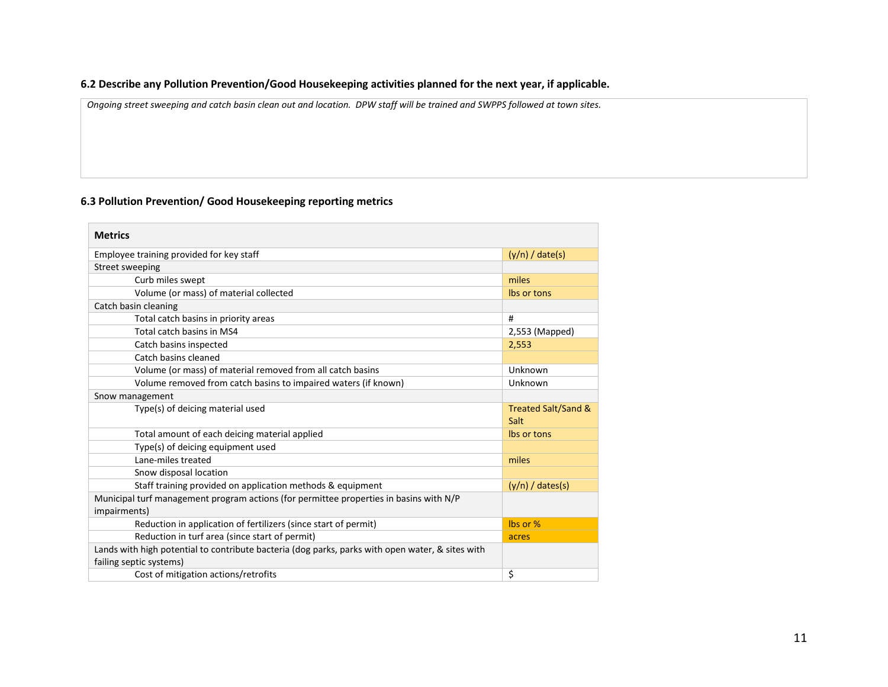## **6.2 Describe any Pollution Prevention/Good Housekeeping activities planned for the next year, if applicable.**

*Ongoing street sweeping and catch basin clean out and location. DPW staff will be trained and SWPPS followed at town sites.*

# **6.3 Pollution Prevention/ Good Housekeeping reporting metrics**

| <b>Metrics</b>                                                                                                              |                             |
|-----------------------------------------------------------------------------------------------------------------------------|-----------------------------|
| Employee training provided for key staff                                                                                    | $(y/n) /$ date(s)           |
| Street sweeping                                                                                                             |                             |
| Curb miles swept                                                                                                            | miles                       |
| Volume (or mass) of material collected                                                                                      | Ibs or tons                 |
| Catch basin cleaning                                                                                                        |                             |
| Total catch basins in priority areas                                                                                        | #                           |
| Total catch basins in MS4                                                                                                   | 2,553 (Mapped)              |
| Catch basins inspected                                                                                                      | 2,553                       |
| Catch basins cleaned                                                                                                        |                             |
| Volume (or mass) of material removed from all catch basins                                                                  | Unknown                     |
| Volume removed from catch basins to impaired waters (if known)                                                              | Unknown                     |
| Snow management                                                                                                             |                             |
| Type(s) of deicing material used                                                                                            | Treated Salt/Sand &<br>Salt |
| Total amount of each deicing material applied                                                                               | Ibs or tons                 |
| Type(s) of deicing equipment used                                                                                           |                             |
| Lane-miles treated                                                                                                          | miles                       |
| Snow disposal location                                                                                                      |                             |
| Staff training provided on application methods & equipment                                                                  | $(y/n) /$ dates(s)          |
| Municipal turf management program actions (for permittee properties in basins with N/P<br>impairments)                      |                             |
| Reduction in application of fertilizers (since start of permit)                                                             | lbs or %                    |
| Reduction in turf area (since start of permit)                                                                              | acres                       |
| Lands with high potential to contribute bacteria (dog parks, parks with open water, & sites with<br>failing septic systems) |                             |
| Cost of mitigation actions/retrofits                                                                                        | \$                          |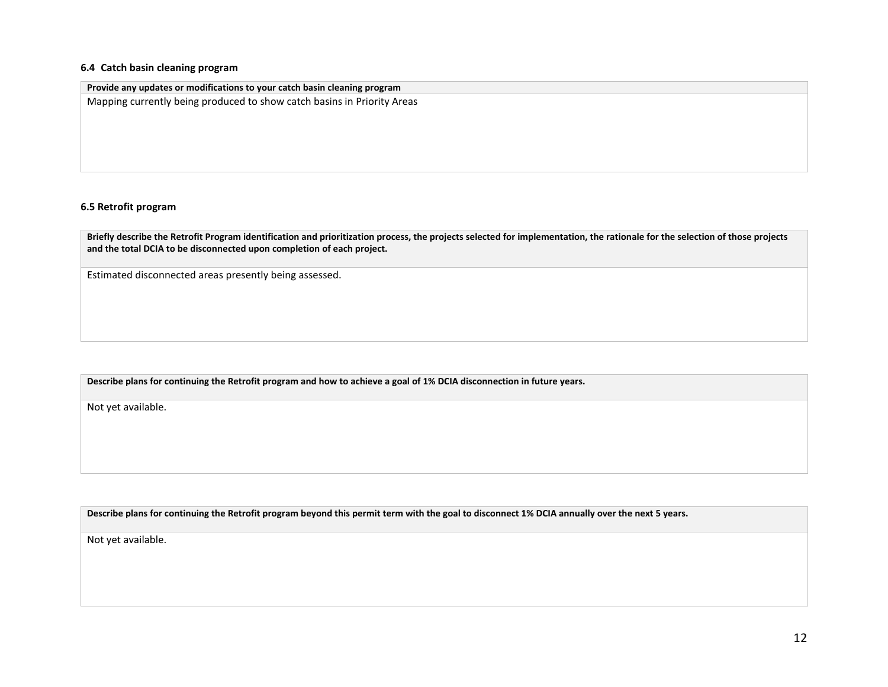#### **6.4 Catch basin cleaning program**

| Provide any updates or modifications to your catch basin cleaning program |  |  |  |  |  |  |  |  |
|---------------------------------------------------------------------------|--|--|--|--|--|--|--|--|
| Mapping currently being produced to show catch basins in Priority Areas   |  |  |  |  |  |  |  |  |
|                                                                           |  |  |  |  |  |  |  |  |
|                                                                           |  |  |  |  |  |  |  |  |
|                                                                           |  |  |  |  |  |  |  |  |

#### **6.5 Retrofit program**

**Briefly describe the Retrofit Program identification and prioritization process, the projects selected for implementation, the rationale for the selection of those projects and the total DCIA to be disconnected upon completion of each project.** 

Estimated disconnected areas presently being assessed.

**Describe plans for continuing the Retrofit program and how to achieve a goal of 1% DCIA disconnection in future years.** 

Not yet available.

**Describe plans for continuing the Retrofit program beyond this permit term with the goal to disconnect 1% DCIA annually over the next 5 years.**

Not yet available.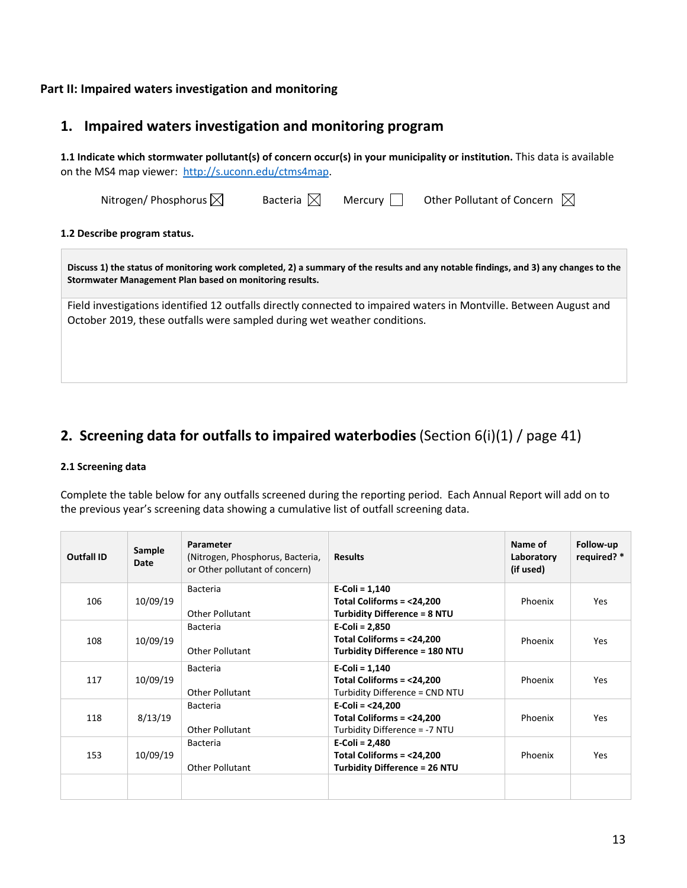# **Part II: Impaired waters investigation and monitoring**

# **1. Impaired waters investigation and monitoring program**

**1.1 Indicate which stormwater pollutant(s) of concern occur(s) in your municipality or institution.** This data is available on the MS4 map viewer: [http://s.uconn.edu/ctms4map.](http://www.nemo.uconn.edu/ms4)

| Nitrogen/Phosphorus $\boxtimes$                                                                                                                                                                | Bacteria $\mathbb{X}$ | Mercury | Other Pollutant of Concern $\mathbb{X}$ |  |
|------------------------------------------------------------------------------------------------------------------------------------------------------------------------------------------------|-----------------------|---------|-----------------------------------------|--|
| 1.2 Describe program status.                                                                                                                                                                   |                       |         |                                         |  |
| Discuss 1) the status of monitoring work completed, 2) a summary of the results and any notable findings, and 3) any changes to the<br>Stormwater Management Plan based on monitoring results. |                       |         |                                         |  |
| Field investigations identified 12 outfalls directly connected to impaired waters in Montville. Between August and<br>October 2019, these outfalls were sampled during wet weather conditions. |                       |         |                                         |  |
|                                                                                                                                                                                                |                       |         |                                         |  |

# **2. Screening data for outfalls to impaired waterbodies** (Section 6(i)(1) / page 41)

### **2.1 Screening data**

Complete the table below for any outfalls screened during the reporting period. Each Annual Report will add on to the previous year's screening data showing a cumulative list of outfall screening data.

| Outfall ID | Sample<br>Date | Parameter<br>(Nitrogen, Phosphorus, Bacteria,<br>or Other pollutant of concern) | <b>Results</b>                                                                         | Name of<br>Laboratory<br>(if used) | Follow-up<br>required? * |
|------------|----------------|---------------------------------------------------------------------------------|----------------------------------------------------------------------------------------|------------------------------------|--------------------------|
| 106        | 10/09/19       | <b>Bacteria</b><br><b>Other Pollutant</b>                                       | $E-Coli = 1,140$<br>Total Coliforms = <24,200<br>Turbidity Difference = 8 NTU          | Phoenix                            | <b>Yes</b>               |
| 108        | 10/09/19       | <b>Bacteria</b><br>Other Pollutant                                              | $E-Coli = 2,850$<br>Total Coliforms = <24,200<br><b>Turbidity Difference = 180 NTU</b> | Phoenix                            | <b>Yes</b>               |
| 117        | 10/09/19       | <b>Bacteria</b><br>Other Pollutant                                              | $E-Coli = 1,140$<br>Total Coliforms = <24,200<br>Turbidity Difference = CND NTU        | Phoenix                            | <b>Yes</b>               |
| 118        | 8/13/19        | Bacteria<br><b>Other Pollutant</b>                                              | E-Coli = <24,200<br>Total Coliforms = <24,200<br>Turbidity Difference = -7 NTU         | Phoenix                            | <b>Yes</b>               |
| 153        | 10/09/19       | <b>Bacteria</b><br><b>Other Pollutant</b>                                       | E-Coli = 2,480<br>Total Coliforms = <24,200<br><b>Turbidity Difference = 26 NTU</b>    | Phoenix                            | <b>Yes</b>               |
|            |                |                                                                                 |                                                                                        |                                    |                          |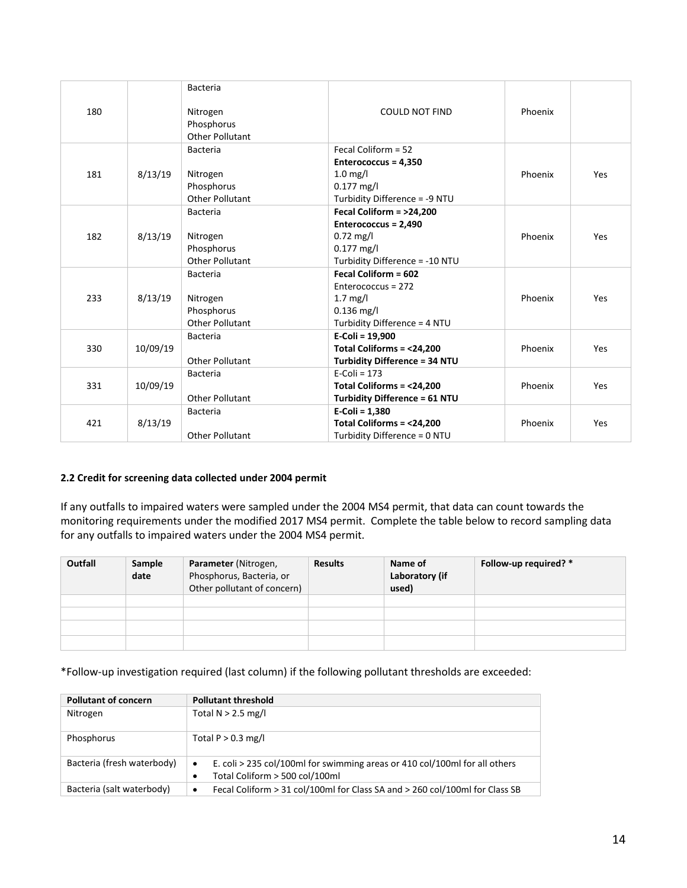|     |          | <b>Bacteria</b>                                  |                                      |         |     |
|-----|----------|--------------------------------------------------|--------------------------------------|---------|-----|
| 180 |          | Nitrogen<br>Phosphorus<br><b>Other Pollutant</b> | <b>COULD NOT FIND</b>                | Phoenix |     |
|     |          | <b>Bacteria</b>                                  | Fecal Coliform = 52                  |         |     |
|     |          |                                                  | Enterococcus = 4,350                 |         |     |
| 181 | 8/13/19  | Nitrogen                                         | $1.0$ mg/l                           | Phoenix | Yes |
|     |          | Phosphorus                                       | $0.177$ mg/l                         |         |     |
|     |          | <b>Other Pollutant</b>                           | Turbidity Difference = -9 NTU        |         |     |
|     |          | <b>Bacteria</b>                                  | Fecal Coliform = >24,200             |         |     |
|     |          |                                                  | Enterococcus = 2,490                 |         |     |
| 182 | 8/13/19  | Nitrogen                                         | $0.72$ mg/l                          | Phoenix | Yes |
|     |          | Phosphorus                                       | $0.177$ mg/l                         |         |     |
|     |          | <b>Other Pollutant</b>                           | Turbidity Difference = -10 NTU       |         |     |
|     |          | <b>Bacteria</b>                                  | Fecal Coliform = 602                 |         |     |
|     |          |                                                  | Enterococcus = 272                   |         |     |
| 233 | 8/13/19  | Nitrogen                                         | $1.7 \text{ mg/l}$                   | Phoenix | Yes |
|     |          | Phosphorus                                       | $0.136$ mg/l                         |         |     |
|     |          | <b>Other Pollutant</b>                           | Turbidity Difference = 4 NTU         |         |     |
|     |          | Bacteria                                         | $E-Coli = 19,900$                    |         |     |
| 330 | 10/09/19 |                                                  | Total Coliforms = <24,200            | Phoenix | Yes |
|     |          | <b>Other Pollutant</b>                           | <b>Turbidity Difference = 34 NTU</b> |         |     |
|     |          | <b>Bacteria</b>                                  | $E-Coli = 173$                       |         |     |
| 331 | 10/09/19 |                                                  | Total Coliforms = <24,200            | Phoenix | Yes |
|     |          | <b>Other Pollutant</b>                           | <b>Turbidity Difference = 61 NTU</b> |         |     |
|     |          | <b>Bacteria</b>                                  | $E-Coli = 1,380$                     |         |     |
| 421 | 8/13/19  |                                                  | Total Coliforms = <24,200            | Phoenix | Yes |
|     |          | <b>Other Pollutant</b>                           | Turbidity Difference = 0 NTU         |         |     |

### **2.2 Credit for screening data collected under 2004 permit**

If any outfalls to impaired waters were sampled under the 2004 MS4 permit, that data can count towards the monitoring requirements under the modified 2017 MS4 permit. Complete the table below to record sampling data for any outfalls to impaired waters under the 2004 MS4 permit.

| Outfall | Sample<br>date | Parameter (Nitrogen,<br>Phosphorus, Bacteria, or<br>Other pollutant of concern) | <b>Results</b> | Name of<br>Laboratory (if<br>used) | Follow-up required? * |
|---------|----------------|---------------------------------------------------------------------------------|----------------|------------------------------------|-----------------------|
|         |                |                                                                                 |                |                                    |                       |
|         |                |                                                                                 |                |                                    |                       |
|         |                |                                                                                 |                |                                    |                       |
|         |                |                                                                                 |                |                                    |                       |

\*Follow-up investigation required (last column) if the following pollutant thresholds are exceeded:

| <b>Pollutant of concern</b> | <b>Pollutant threshold</b>                                                                                                     |  |  |
|-----------------------------|--------------------------------------------------------------------------------------------------------------------------------|--|--|
| Nitrogen                    | Total $N > 2.5$ mg/l                                                                                                           |  |  |
| Phosphorus                  | Total $P > 0.3$ mg/l                                                                                                           |  |  |
| Bacteria (fresh waterbody)  | E. coli > 235 col/100ml for swimming areas or 410 col/100ml for all others<br>$\bullet$<br>Total Coliform > 500 col/100ml<br>٠ |  |  |
| Bacteria (salt waterbody)   | Fecal Coliform > 31 col/100ml for Class SA and > 260 col/100ml for Class SB<br>$\bullet$                                       |  |  |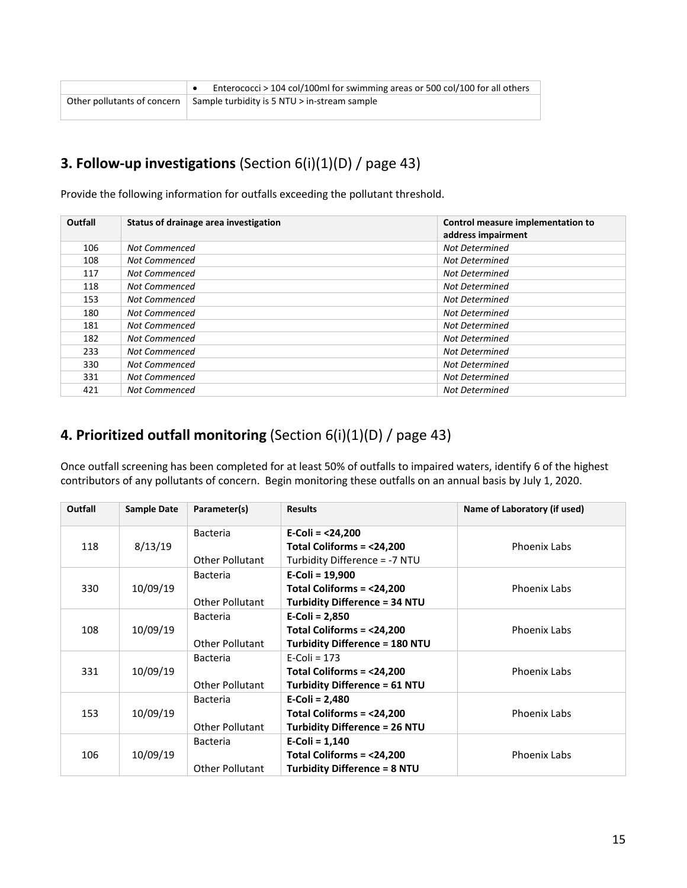| Enterococci > 104 col/100ml for swimming areas or 500 col/100 for all others           |
|----------------------------------------------------------------------------------------|
| Other pollutants of concern $\parallel$ Sample turbidity is 5 NTU $>$ in-stream sample |

# **3. Follow-up investigations** (Section 6(i)(1)(D) / page 43)

Provide the following information for outfalls exceeding the pollutant threshold.

| Outfall | Status of drainage area investigation | Control measure implementation to<br>address impairment |
|---------|---------------------------------------|---------------------------------------------------------|
| 106     | Not Commenced                         | <b>Not Determined</b>                                   |
| 108     | Not Commenced                         | <b>Not Determined</b>                                   |
| 117     | Not Commenced                         | <b>Not Determined</b>                                   |
| 118     | Not Commenced                         | Not Determined                                          |
| 153     | Not Commenced                         | <b>Not Determined</b>                                   |
| 180     | <b>Not Commenced</b>                  | <b>Not Determined</b>                                   |
| 181     | <b>Not Commenced</b>                  | <b>Not Determined</b>                                   |
| 182     | Not Commenced                         | <b>Not Determined</b>                                   |
| 233     | <b>Not Commenced</b>                  | Not Determined                                          |
| 330     | <b>Not Commenced</b>                  | <b>Not Determined</b>                                   |
| 331     | <b>Not Commenced</b>                  | Not Determined                                          |
| 421     | Not Commenced                         | <b>Not Determined</b>                                   |

# **4. Prioritized outfall monitoring** (Section 6(i)(1)(D) / page 43)

Once outfall screening has been completed for at least 50% of outfalls to impaired waters, identify 6 of the highest contributors of any pollutants of concern. Begin monitoring these outfalls on an annual basis by July 1, 2020.

| Outfall | <b>Sample Date</b> | Parameter(s)           | <b>Results</b>                        | Name of Laboratory (if used) |
|---------|--------------------|------------------------|---------------------------------------|------------------------------|
|         |                    | <b>Bacteria</b>        | E-Coli = $<$ 24,200                   |                              |
| 118     | 8/13/19            |                        | Total Coliforms = <24,200             | <b>Phoenix Labs</b>          |
|         |                    | <b>Other Pollutant</b> | Turbidity Difference = -7 NTU         |                              |
|         |                    | <b>Bacteria</b>        | $E-Coli = 19,900$                     |                              |
| 330     | 10/09/19           |                        | Total Coliforms = <24,200             | <b>Phoenix Labs</b>          |
|         |                    | Other Pollutant        | <b>Turbidity Difference = 34 NTU</b>  |                              |
|         |                    | <b>Bacteria</b>        | $E-Coli = 2,850$                      |                              |
| 108     | 10/09/19           |                        | Total Coliforms = <24,200             | <b>Phoenix Labs</b>          |
|         |                    | <b>Other Pollutant</b> | <b>Turbidity Difference = 180 NTU</b> |                              |
|         |                    | <b>Bacteria</b>        | $E$ -Coli = 173                       |                              |
| 331     | 10/09/19           |                        | Total Coliforms = <24,200             | <b>Phoenix Labs</b>          |
|         |                    | Other Pollutant        | <b>Turbidity Difference = 61 NTU</b>  |                              |
|         |                    | <b>Bacteria</b>        | $E-Coli = 2,480$                      |                              |
| 153     | 10/09/19           |                        | Total Coliforms = $<$ 24,200          | <b>Phoenix Labs</b>          |
|         |                    | <b>Other Pollutant</b> | <b>Turbidity Difference = 26 NTU</b>  |                              |
|         |                    | <b>Bacteria</b>        | $E-Coli = 1,140$                      |                              |
| 106     | 10/09/19           |                        | Total Coliforms = <24,200             | <b>Phoenix Labs</b>          |
|         |                    | <b>Other Pollutant</b> | <b>Turbidity Difference = 8 NTU</b>   |                              |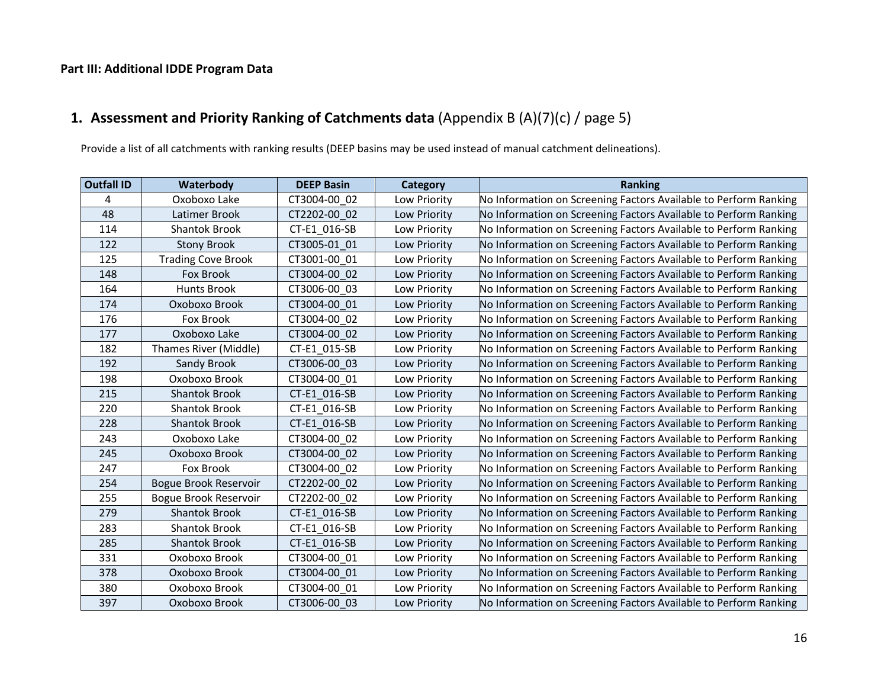# **Part III: Additional IDDE Program Data**

# **1. Assessment and Priority Ranking of Catchments data** (Appendix B (A)(7)(c) / page 5)

Provide a list of all catchments with ranking results (DEEP basins may be used instead of manual catchment delineations).

| <b>Outfall ID</b> | Waterbody                 | <b>DEEP Basin</b> | Category     | <b>Ranking</b>                                                   |
|-------------------|---------------------------|-------------------|--------------|------------------------------------------------------------------|
| 4                 | Oxoboxo Lake              | CT3004-00 02      | Low Priority | No Information on Screening Factors Available to Perform Ranking |
| 48                | Latimer Brook             | CT2202-00 02      | Low Priority | No Information on Screening Factors Available to Perform Ranking |
| 114               | <b>Shantok Brook</b>      | CT-E1 016-SB      | Low Priority | No Information on Screening Factors Available to Perform Ranking |
| 122               | <b>Stony Brook</b>        | CT3005-01 01      | Low Priority | No Information on Screening Factors Available to Perform Ranking |
| 125               | <b>Trading Cove Brook</b> | CT3001-00 01      | Low Priority | No Information on Screening Factors Available to Perform Ranking |
| 148               | Fox Brook                 | CT3004-00 02      | Low Priority | No Information on Screening Factors Available to Perform Ranking |
| 164               | <b>Hunts Brook</b>        | CT3006-00 03      | Low Priority | No Information on Screening Factors Available to Perform Ranking |
| 174               | Oxoboxo Brook             | CT3004-00_01      | Low Priority | No Information on Screening Factors Available to Perform Ranking |
| 176               | Fox Brook                 | CT3004-00 02      | Low Priority | No Information on Screening Factors Available to Perform Ranking |
| 177               | Oxoboxo Lake              | CT3004-00 02      | Low Priority | No Information on Screening Factors Available to Perform Ranking |
| 182               | Thames River (Middle)     | CT-E1 015-SB      | Low Priority | No Information on Screening Factors Available to Perform Ranking |
| 192               | Sandy Brook               | CT3006-00 03      | Low Priority | No Information on Screening Factors Available to Perform Ranking |
| 198               | Oxoboxo Brook             | CT3004-00 01      | Low Priority | No Information on Screening Factors Available to Perform Ranking |
| 215               | <b>Shantok Brook</b>      | CT-E1 016-SB      | Low Priority | No Information on Screening Factors Available to Perform Ranking |
| 220               | <b>Shantok Brook</b>      | CT-E1 016-SB      | Low Priority | No Information on Screening Factors Available to Perform Ranking |
| 228               | <b>Shantok Brook</b>      | CT-E1 016-SB      | Low Priority | No Information on Screening Factors Available to Perform Ranking |
| 243               | Oxoboxo Lake              | CT3004-00 02      | Low Priority | No Information on Screening Factors Available to Perform Ranking |
| 245               | Oxoboxo Brook             | CT3004-00 02      | Low Priority | No Information on Screening Factors Available to Perform Ranking |
| 247               | Fox Brook                 | CT3004-00_02      | Low Priority | No Information on Screening Factors Available to Perform Ranking |
| 254               | Bogue Brook Reservoir     | CT2202-00 02      | Low Priority | No Information on Screening Factors Available to Perform Ranking |
| 255               | Bogue Brook Reservoir     | CT2202-00 02      | Low Priority | No Information on Screening Factors Available to Perform Ranking |
| 279               | <b>Shantok Brook</b>      | CT-E1 016-SB      | Low Priority | No Information on Screening Factors Available to Perform Ranking |
| 283               | <b>Shantok Brook</b>      | CT-E1 016-SB      | Low Priority | No Information on Screening Factors Available to Perform Ranking |
| 285               | <b>Shantok Brook</b>      | CT-E1_016-SB      | Low Priority | No Information on Screening Factors Available to Perform Ranking |
| 331               | Oxoboxo Brook             | CT3004-00 01      | Low Priority | No Information on Screening Factors Available to Perform Ranking |
| 378               | Oxoboxo Brook             | CT3004-00 01      | Low Priority | No Information on Screening Factors Available to Perform Ranking |
| 380               | Oxoboxo Brook             | CT3004-00 01      | Low Priority | No Information on Screening Factors Available to Perform Ranking |
| 397               | Oxoboxo Brook             | CT3006-00 03      | Low Priority | No Information on Screening Factors Available to Perform Ranking |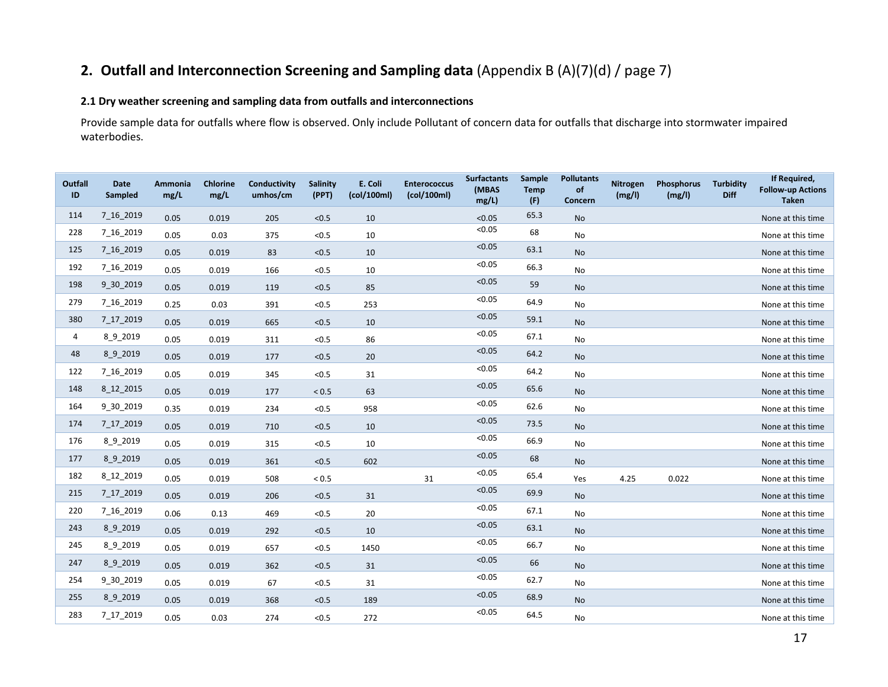# **2. Outfall and Interconnection Screening and Sampling data** (Appendix B (A)(7)(d) / page 7)

# **2.1 Dry weather screening and sampling data from outfalls and interconnections**

Provide sample data for outfalls where flow is observed. Only include Pollutant of concern data for outfalls that discharge into stormwater impaired waterbodies.

| <b>Outfall</b><br>ID | <b>Date</b><br>Sampled | Ammonia<br>mg/L | <b>Chlorine</b><br>mg/L | Conductivity<br>umhos/cm | <b>Salinity</b><br>(PPT) | E. Coli<br>(col/100ml) | <b>Enterococcus</b><br>(col/100ml) | <b>Surfactants</b><br>(MBAS<br>mg/L | <b>Sample</b><br><b>Temp</b><br>(F) | <b>Pollutants</b><br>of<br>Concern | Nitrogen<br>(mg/l) | Phosphorus<br>(mg/l) | <b>Turbidity</b><br><b>Diff</b> | If Required,<br><b>Follow-up Actions</b><br><b>Taken</b> |
|----------------------|------------------------|-----------------|-------------------------|--------------------------|--------------------------|------------------------|------------------------------------|-------------------------------------|-------------------------------------|------------------------------------|--------------------|----------------------|---------------------------------|----------------------------------------------------------|
| 114                  | 7_16_2019              | 0.05            | 0.019                   | 205                      | < 0.5                    | 10                     |                                    | < 0.05                              | 65.3                                | No                                 |                    |                      |                                 | None at this time                                        |
| 228                  | 7 16 2019              | 0.05            | 0.03                    | 375                      | < 0.5                    | 10                     |                                    | < 0.05                              | 68                                  | No                                 |                    |                      |                                 | None at this time                                        |
| 125                  | 7_16_2019              | 0.05            | 0.019                   | 83                       | < 0.5                    | 10                     |                                    | < 0.05                              | 63.1                                | No                                 |                    |                      |                                 | None at this time                                        |
| 192                  | 7 16 2019              | 0.05            | 0.019                   | 166                      | < 0.5                    | 10                     |                                    | < 0.05                              | 66.3                                | No                                 |                    |                      |                                 | None at this time                                        |
| 198                  | 9 30 2019              | 0.05            | 0.019                   | 119                      | < 0.5                    | 85                     |                                    | < 0.05                              | 59                                  | No                                 |                    |                      |                                 | None at this time                                        |
| 279                  | 7_16_2019              | 0.25            | 0.03                    | 391                      | < 0.5                    | 253                    |                                    | < 0.05                              | 64.9                                | No                                 |                    |                      |                                 | None at this time                                        |
| 380                  | 7_17_2019              | 0.05            | 0.019                   | 665                      | < 0.5                    | 10                     |                                    | < 0.05                              | 59.1                                | No                                 |                    |                      |                                 | None at this time                                        |
| 4                    | 8_9_2019               | 0.05            | 0.019                   | 311                      | $<0.5$                   | 86                     |                                    | < 0.05                              | 67.1                                | No                                 |                    |                      |                                 | None at this time                                        |
| 48                   | 8_9_2019               | 0.05            | 0.019                   | 177                      | < 0.5                    | 20                     |                                    | < 0.05                              | 64.2                                | <b>No</b>                          |                    |                      |                                 | None at this time                                        |
| 122                  | 7_16_2019              | 0.05            | 0.019                   | 345                      | < 0.5                    | 31                     |                                    | < 0.05                              | 64.2                                | No                                 |                    |                      |                                 | None at this time                                        |
| 148                  | 8 12 2015              | 0.05            | 0.019                   | 177                      | ${}_{< 0.5}$             | 63                     |                                    | < 0.05                              | 65.6                                | No                                 |                    |                      |                                 | None at this time                                        |
| 164                  | 9 30 2019              | 0.35            | 0.019                   | 234                      | < 0.5                    | 958                    |                                    | < 0.05                              | 62.6                                | No                                 |                    |                      |                                 | None at this time                                        |
| 174                  | 7_17_2019              | 0.05            | 0.019                   | 710                      | < 0.5                    | 10                     |                                    | < 0.05                              | 73.5                                | No                                 |                    |                      |                                 | None at this time                                        |
| 176                  | 8 9 2019               | 0.05            | 0.019                   | 315                      | < 0.5                    | 10                     |                                    | < 0.05                              | 66.9                                | No                                 |                    |                      |                                 | None at this time                                        |
| 177                  | 8 9 2019               | 0.05            | 0.019                   | 361                      | $<0.5$                   | 602                    |                                    | < 0.05                              | 68                                  | No                                 |                    |                      |                                 | None at this time                                        |
| 182                  | 8 12 2019              | 0.05            | 0.019                   | 508                      | $< 0.5$                  |                        | 31                                 | < 0.05                              | 65.4                                | Yes                                | 4.25               | 0.022                |                                 | None at this time                                        |
| 215                  | 7_17_2019              | 0.05            | 0.019                   | 206                      | $<0.5$                   | 31                     |                                    | < 0.05                              | 69.9                                | <b>No</b>                          |                    |                      |                                 | None at this time                                        |
| 220                  | 7 16 2019              | 0.06            | 0.13                    | 469                      | < 0.5                    | 20                     |                                    | < 0.05                              | 67.1                                | No                                 |                    |                      |                                 | None at this time                                        |
| 243                  | 8_9_2019               | 0.05            | 0.019                   | 292                      | < 0.5                    | 10                     |                                    | < 0.05                              | 63.1                                | <b>No</b>                          |                    |                      |                                 | None at this time                                        |
| 245                  | 8 9 2019               | 0.05            | 0.019                   | 657                      | < 0.5                    | 1450                   |                                    | < 0.05                              | 66.7                                | No                                 |                    |                      |                                 | None at this time                                        |
| 247                  | 8_9_2019               | 0.05            | 0.019                   | 362                      | < 0.5                    | 31                     |                                    | < 0.05                              | 66                                  | No                                 |                    |                      |                                 | None at this time                                        |
| 254                  | 9 30 2019              | 0.05            | 0.019                   | 67                       | < 0.5                    | 31                     |                                    | < 0.05                              | 62.7                                | No                                 |                    |                      |                                 | None at this time                                        |
| 255                  | 8 9 2019               | 0.05            | 0.019                   | 368                      | < 0.5                    | 189                    |                                    | < 0.05                              | 68.9                                | <b>No</b>                          |                    |                      |                                 | None at this time                                        |
| 283                  | 7 17 2019              | 0.05            | 0.03                    | 274                      | < 0.5                    | 272                    |                                    | < 0.05                              | 64.5                                | No                                 |                    |                      |                                 | None at this time                                        |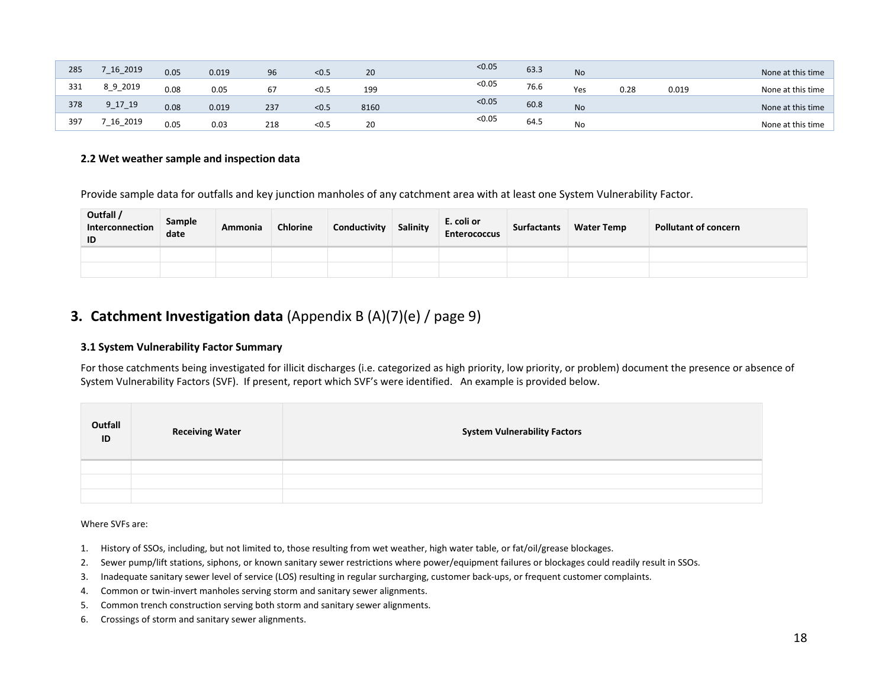| 285 | $\begin{array}{c}\n -16 \\ -2019\n \end{array}$ | 0.05 | 0.019 | 96  | < 0.5 | 20   | < 0.05 | 63.3 | <b>No</b> |      |       | None at this time |
|-----|-------------------------------------------------|------|-------|-----|-------|------|--------|------|-----------|------|-------|-------------------|
| 331 | 8_9_2019                                        | 0.08 | 0.05  | 67  | < 0.5 | 199  | < 0.05 | 76.6 | Yes       | 0.28 | 0.019 | None at this time |
| 378 | $9 - 17 - 19$                                   | 0.08 | 0.019 | 237 | < 0.5 | 8160 | < 0.05 | 60.8 | <b>No</b> |      |       | None at this time |
| 397 | $-16 - 2019$                                    | 0.05 | 0.03  | 218 | < 0.5 | 20   | < 0.05 | 64.5 | No        |      |       | None at this time |

### **2.2 Wet weather sample and inspection data**

Provide sample data for outfalls and key junction manholes of any catchment area with at least one System Vulnerability Factor.

| Outfall /<br>Interconnection<br>ID | Sample<br>date | Ammonia | <b>Chlorine</b> | Conductivity | Salinity | E. coli or<br><b>Enterococcus</b> | <b>Surfactants</b> | <b>Water Temp</b> | <b>Pollutant of concern</b> |
|------------------------------------|----------------|---------|-----------------|--------------|----------|-----------------------------------|--------------------|-------------------|-----------------------------|
|                                    |                |         |                 |              |          |                                   |                    |                   |                             |
|                                    |                |         |                 |              |          |                                   |                    |                   |                             |

# **3. Catchment Investigation data** (Appendix B (A)(7)(e) / page 9)

### **3.1 System Vulnerability Factor Summary**

For those catchments being investigated for illicit discharges (i.e. categorized as high priority, low priority, or problem) document the presence or absence of System Vulnerability Factors (SVF). If present, report which SVF's were identified. An example is provided below.

| Outfall<br>ID | <b>Receiving Water</b> | <b>System Vulnerability Factors</b> |
|---------------|------------------------|-------------------------------------|
|               |                        |                                     |
|               |                        |                                     |
|               |                        |                                     |

Where SVFs are:

- 1. History of SSOs, including, but not limited to, those resulting from wet weather, high water table, or fat/oil/grease blockages.
- 2. Sewer pump/lift stations, siphons, or known sanitary sewer restrictions where power/equipment failures or blockages could readily result in SSOs.
- 3. Inadequate sanitary sewer level of service (LOS) resulting in regular surcharging, customer back-ups, or frequent customer complaints.
- 4. Common or twin-invert manholes serving storm and sanitary sewer alignments.
- 5. Common trench construction serving both storm and sanitary sewer alignments.
- 6. Crossings of storm and sanitary sewer alignments.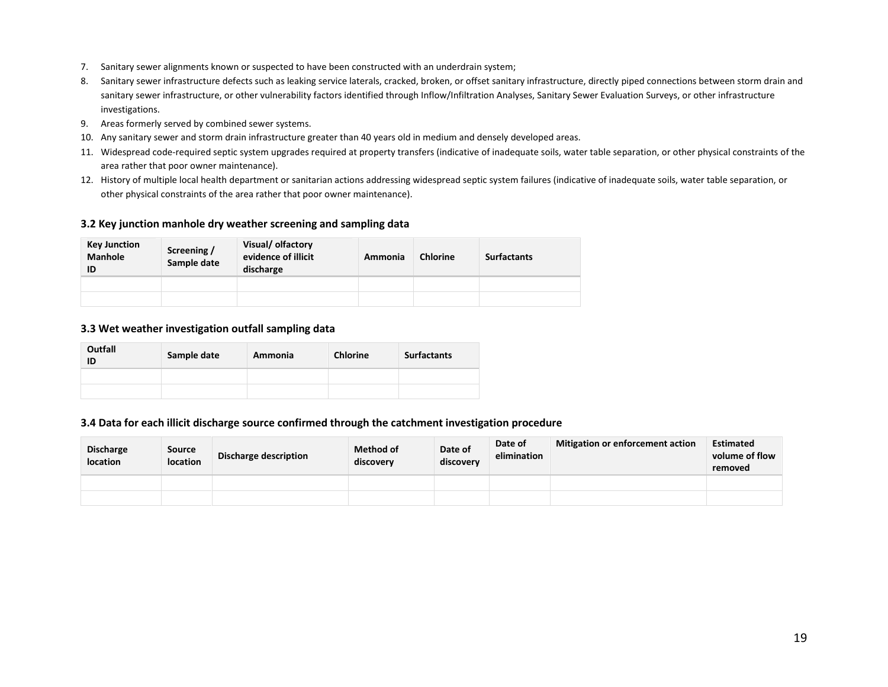- 7. Sanitary sewer alignments known or suspected to have been constructed with an underdrain system;
- 8. Sanitary sewer infrastructure defects such as leaking service laterals, cracked, broken, or offset sanitary infrastructure, directly piped connections between storm drain and sanitary sewer infrastructure, or other vulnerability factors identified through Inflow/Infiltration Analyses, Sanitary Sewer Evaluation Surveys, or other infrastructure investigations.
- 9. Areas formerly served by combined sewer systems.
- 10. Any sanitary sewer and storm drain infrastructure greater than 40 years old in medium and densely developed areas.
- 11. Widespread code-required septic system upgrades required at property transfers (indicative of inadequate soils, water table separation, or other physical constraints of the area rather that poor owner maintenance).
- 12. History of multiple local health department or sanitarian actions addressing widespread septic system failures (indicative of inadequate soils, water table separation, or other physical constraints of the area rather that poor owner maintenance).

### **3.2 Key junction manhole dry weather screening and sampling data**

| <b>Key Junction</b><br><b>Manhole</b><br>ID | Screening /<br>Sample date | Visual/olfactory<br>evidence of illicit<br>discharge | Ammonia | <b>Chlorine</b> | <b>Surfactants</b> |
|---------------------------------------------|----------------------------|------------------------------------------------------|---------|-----------------|--------------------|
|                                             |                            |                                                      |         |                 |                    |
|                                             |                            |                                                      |         |                 |                    |

#### **3.3 Wet weather investigation outfall sampling data**

| Outfall<br>ID | Sample date | Ammonia | <b>Chlorine</b> | <b>Surfactants</b> |
|---------------|-------------|---------|-----------------|--------------------|
|               |             |         |                 |                    |
|               |             |         |                 |                    |

#### **3.4 Data for each illicit discharge source confirmed through the catchment investigation procedure**

| <b>Discharge</b><br><b>location</b> | <b>Source</b><br><b>location</b> | Discharge description | <b>Method of</b><br>discovery | Date of<br>discovery | Date of<br>elimination | <b>Mitigation or enforcement action</b> | <b>Estimated</b><br>volume of flow<br>removed |
|-------------------------------------|----------------------------------|-----------------------|-------------------------------|----------------------|------------------------|-----------------------------------------|-----------------------------------------------|
|                                     |                                  |                       |                               |                      |                        |                                         |                                               |
|                                     |                                  |                       |                               |                      |                        |                                         |                                               |